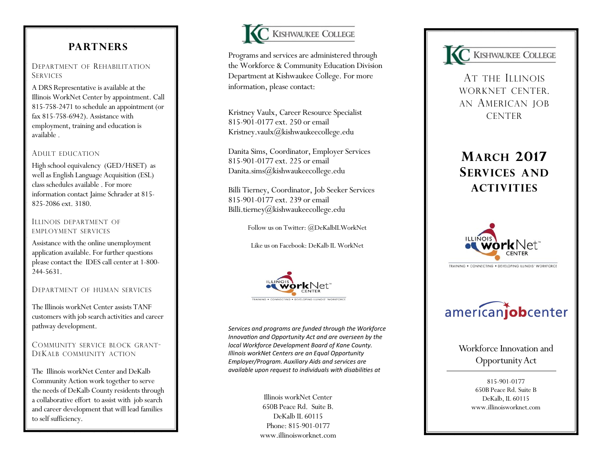## **PARTNERS**

## DEPARTMENT OF REHABILITATION **SERVICES**

A DRS Representative is available at the Illinois WorkNet Center by appointment. Call 815 -758 -2471 to schedule an appointment (or fax 815 -758 -6942). Assistance with employment, training and education is available .

## ADULT EDUCATION

High school equivalency (GED/HiSET) as well as English Language Acquisition (ESL) class schedules available . For more information contact Jaime Schrader at 815 - 825 -2086 ext. 3180.

#### ILLINOIS DEPARTMENT OF EMPLOYMENT SERVICES

Assistance with the online unemployment application available. For further questions please contact the IDES call center at 1-800-244 -5631.

## DEPARTMENT OF HUMAN SERVICES

The Illinois workNet Center assists TANF customers with job search activities and career pathway development.

## COMMUNITY SERVICE BLOCK GRANT - D E KALB COMMUNITY ACTION

The Illinois workNet Center and DeKalb Community Action work together to serve the needs of DeKalb County residents through a collaborative effort to assist with job search and career development that will lead families to self sufficiency.



Programs and services are administered through the Workforce & Community Education Division Department at Kishwaukee College. For more information, please contact:

Kristney Vaulx, Career Resource Specialist 815 -901 -0177 ext. 250 or email Kristney.vaulx@kishwaukeecollege.edu

Danita Sims, Coordinator, Employer Services 815 -901 -0177 ext. 225 or email Danita.sims@kishwaukeecollege.edu

Billi Tierney, Coordinator, Job Seeker Services 815 -901 -0177 ext. 239 or email Billi.tierney@kishwaukeecollege.edu

Follow us on Twitter: @DeKalbILWorkNet

Like us on Facebook: DeKalb IL WorkNet



*Services and programs are funded through the Workforce Innovation and Opportunity Act and are overseen by the local Workforce Development Board of Kane County. Illinois workNet Centers are an Equal Opportunity Employer/Program. Auxiliary Aids and services are available upon request to individuals with disabilities at* 

> Illinois workNet Center 650B Peace Rd. Suite B. DeKalb IL 60115 Phone: 815 -901 -0177 www.illinoisworknet.com



A T THE ILLINOIS WORKNET CENTER. AN AMERICAN JOB **CENTER** 

# **<sup>M</sup>ARCH 2017 SERVICES AND ACTIVITIES**



TRAINING . CONNECTING . DEVELOPING ILLINOIS' WORKFORCE

# americanjobcenter

Workforce Innovation and Opportunity Act

> 815 -901 -0177 650B Peace Rd. Suite B DeKalb, IL 60115 www.illinoisworknet.com